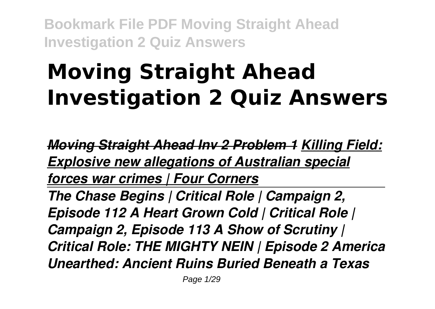# **Moving Straight Ahead Investigation 2 Quiz Answers**

*Moving Straight Ahead Inv 2 Problem 1 Killing Field: Explosive new allegations of Australian special forces war crimes | Four Corners The Chase Begins | Critical Role | Campaign 2, Episode 112 A Heart Grown Cold | Critical Role | Campaign 2, Episode 113 A Show of Scrutiny | Critical Role: THE MIGHTY NEIN | Episode 2 America Unearthed: Ancient Ruins Buried Beneath a Texas*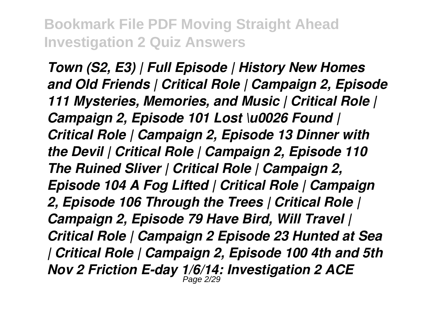*Town (S2, E3) | Full Episode | History New Homes and Old Friends | Critical Role | Campaign 2, Episode 111 Mysteries, Memories, and Music | Critical Role | Campaign 2, Episode 101 Lost \u0026 Found | Critical Role | Campaign 2, Episode 13 Dinner with the Devil | Critical Role | Campaign 2, Episode 110 The Ruined Sliver | Critical Role | Campaign 2, Episode 104 A Fog Lifted | Critical Role | Campaign 2, Episode 106 Through the Trees | Critical Role | Campaign 2, Episode 79 Have Bird, Will Travel | Critical Role | Campaign 2 Episode 23 Hunted at Sea | Critical Role | Campaign 2, Episode 100 4th and 5th Nov 2 Friction E-day 1/6/14: Investigation 2 ACE* Page 2/29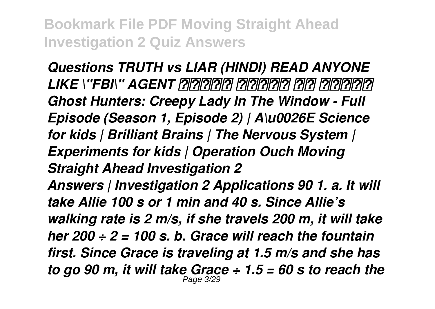*Questions TRUTH vs LIAR (HINDI) READ ANYONE LIKE \"FBI\" AGENT दिमाग पड़ने का तरीका Ghost Hunters: Creepy Lady In The Window - Full Episode (Season 1, Episode 2) | A\u0026E Science for kids | Brilliant Brains | The Nervous System | Experiments for kids | Operation Ouch Moving Straight Ahead Investigation 2 Answers | Investigation 2 Applications 90 1. a. It will take Allie 100 s or 1 min and 40 s. Since Allie's walking rate is 2 m/s, if she travels 200 m, it will take her 200 ÷ 2 = 100 s. b. Grace will reach the fountain first. Since Grace is traveling at 1.5 m/s and she has to go 90 m, it will take Grace ÷ 1.5 = 60 s to reach the* Page 3/29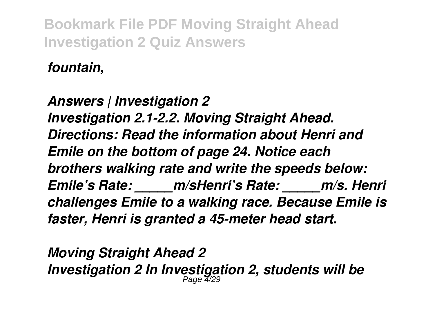*fountain,*

*Answers | Investigation 2 Investigation 2.1-2.2. Moving Straight Ahead. Directions: Read the information about Henri and Emile on the bottom of page 24. Notice each brothers walking rate and write the speeds below: Emile's Rate: \_\_\_\_\_m/sHenri's Rate: \_\_\_\_\_m/s. Henri challenges Emile to a walking race. Because Emile is faster, Henri is granted a 45-meter head start.*

*Moving Straight Ahead 2 Investigation 2 In Investigation 2, students will be* Page 4/29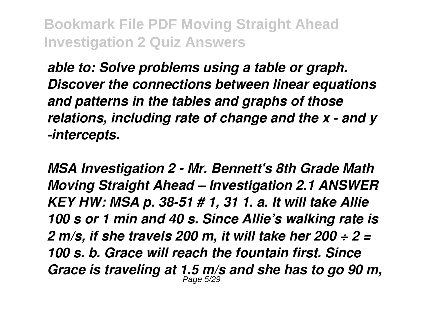*able to: Solve problems using a table or graph. Discover the connections between linear equations and patterns in the tables and graphs of those relations, including rate of change and the x - and y -intercepts.*

*MSA Investigation 2 - Mr. Bennett's 8th Grade Math Moving Straight Ahead – Investigation 2.1 ANSWER KEY HW: MSA p. 38-51 # 1, 31 1. a. It will take Allie 100 s or 1 min and 40 s. Since Allie's walking rate is 2 m/s, if she travels 200 m, it will take her 200 ÷ 2 = 100 s. b. Grace will reach the fountain first. Since Grace is traveling at 1.5 m/s and she has to go 90 m,* Page 5/29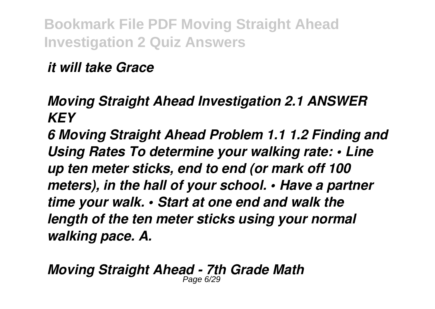*it will take Grace*

*Moving Straight Ahead Investigation 2.1 ANSWER KEY*

*6 Moving Straight Ahead Problem 1.1 1.2 Finding and Using Rates To determine your walking rate: • Line up ten meter sticks, end to end (or mark off 100 meters), in the hall of your school. • Have a partner time your walk. • Start at one end and walk the length of the ten meter sticks using your normal walking pace. A.*

*Moving Straight Ahead - 7th Grade Math* Page 6/29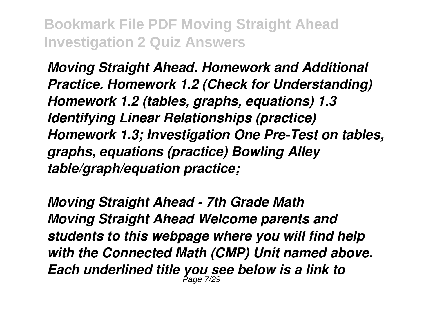*Moving Straight Ahead. Homework and Additional Practice. Homework 1.2 (Check for Understanding) Homework 1.2 (tables, graphs, equations) 1.3 Identifying Linear Relationships (practice) Homework 1.3; Investigation One Pre-Test on tables, graphs, equations (practice) Bowling Alley table/graph/equation practice;*

*Moving Straight Ahead - 7th Grade Math Moving Straight Ahead Welcome parents and students to this webpage where you will find help with the Connected Math (CMP) Unit named above. Each underlined title you see below is a link to* Page 7/29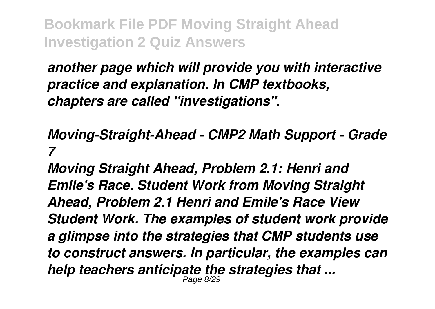*another page which will provide you with interactive practice and explanation. In CMP textbooks, chapters are called "investigations".*

### *Moving-Straight-Ahead - CMP2 Math Support - Grade 7*

*Moving Straight Ahead, Problem 2.1: Henri and Emile's Race. Student Work from Moving Straight Ahead, Problem 2.1 Henri and Emile's Race View Student Work. The examples of student work provide a glimpse into the strategies that CMP students use to construct answers. In particular, the examples can help teachers anticipate the strategies that ...* Page 8/29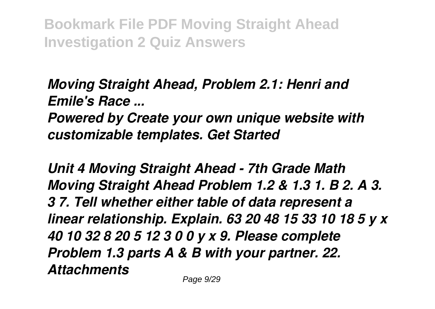*Moving Straight Ahead, Problem 2.1: Henri and Emile's Race ... Powered by Create your own unique website with customizable templates. Get Started*

*Unit 4 Moving Straight Ahead - 7th Grade Math Moving Straight Ahead Problem 1.2 & 1.3 1. B 2. A 3. 3 7. Tell whether either table of data represent a linear relationship. Explain. 63 20 48 15 33 10 18 5 y x 40 10 32 8 20 5 12 3 0 0 y x 9. Please complete Problem 1.3 parts A & B with your partner. 22. Attachments*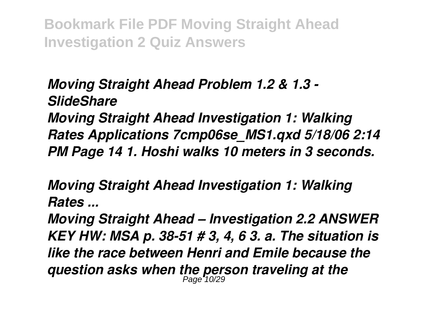*Moving Straight Ahead Problem 1.2 & 1.3 - SlideShare Moving Straight Ahead Investigation 1: Walking Rates Applications 7cmp06se\_MS1.qxd 5/18/06 2:14 PM Page 14 1. Hoshi walks 10 meters in 3 seconds.*

*Moving Straight Ahead Investigation 1: Walking Rates ...*

*Moving Straight Ahead – Investigation 2.2 ANSWER KEY HW: MSA p. 38-51 # 3, 4, 6 3. a. The situation is like the race between Henri and Emile because the question asks when the person traveling at the* Page 10/29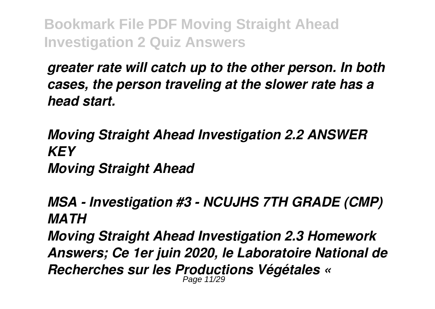*greater rate will catch up to the other person. In both cases, the person traveling at the slower rate has a head start.*

*Moving Straight Ahead Investigation 2.2 ANSWER KEY Moving Straight Ahead*

*MSA - Investigation #3 - NCUJHS 7TH GRADE (CMP) MATH*

*Moving Straight Ahead Investigation 2.3 Homework Answers; Ce 1er juin 2020, le Laboratoire National de Recherches sur les Productions Végétales «* Page 11/29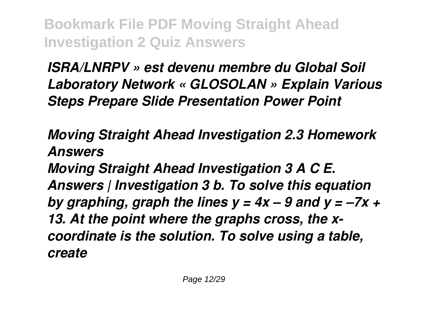*ISRA/LNRPV » est devenu membre du Global Soil Laboratory Network « GLOSOLAN » Explain Various Steps Prepare Slide Presentation Power Point*

*Moving Straight Ahead Investigation 2.3 Homework Answers*

*Moving Straight Ahead Investigation 3 A C E. Answers | Investigation 3 b. To solve this equation by graphing, graph the lines y = 4x – 9 and y = –7x + 13. At the point where the graphs cross, the xcoordinate is the solution. To solve using a table, create*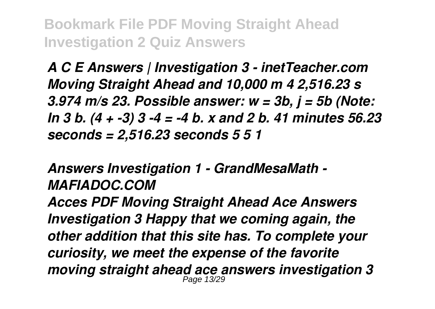*A C E Answers | Investigation 3 - inetTeacher.com Moving Straight Ahead and 10,000 m 4 2,516.23 s 3.974 m/s 23. Possible answer: w = 3b, j = 5b (Note: In 3 b. (4 + -3) 3 -4 = -4 b. x and 2 b. 41 minutes 56.23 seconds = 2,516.23 seconds 5 5 1*

#### *Answers Investigation 1 - GrandMesaMath - MAFIADOC.COM*

*Acces PDF Moving Straight Ahead Ace Answers Investigation 3 Happy that we coming again, the other addition that this site has. To complete your curiosity, we meet the expense of the favorite moving straight ahead ace answers investigation 3* Page 13/29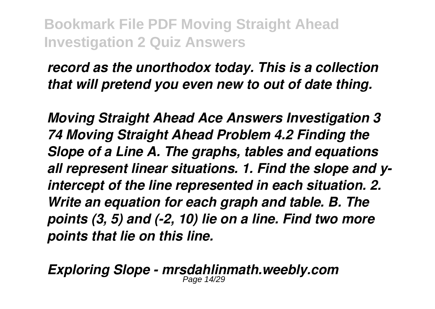*record as the unorthodox today. This is a collection that will pretend you even new to out of date thing.*

*Moving Straight Ahead Ace Answers Investigation 3 74 Moving Straight Ahead Problem 4.2 Finding the Slope of a Line A. The graphs, tables and equations all represent linear situations. 1. Find the slope and yintercept of the line represented in each situation. 2. Write an equation for each graph and table. B. The points (3, 5) and (-2, 10) lie on a line. Find two more points that lie on this line.*

*Exploring Slope - mrsdahlinmath.weebly.com*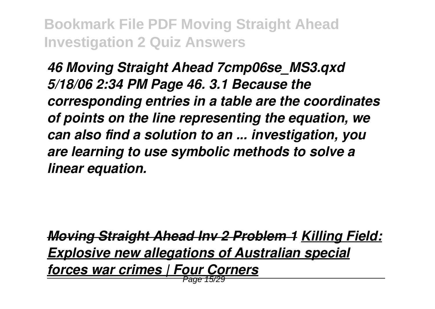*46 Moving Straight Ahead 7cmp06se\_MS3.qxd 5/18/06 2:34 PM Page 46. 3.1 Because the corresponding entries in a table are the coordinates of points on the line representing the equation, we can also find a solution to an ... investigation, you are learning to use symbolic methods to solve a linear equation.*

*Moving Straight Ahead Inv 2 Problem 1 Killing Field: Explosive new allegations of Australian special forces war crimes | Four Corners* Page 15/29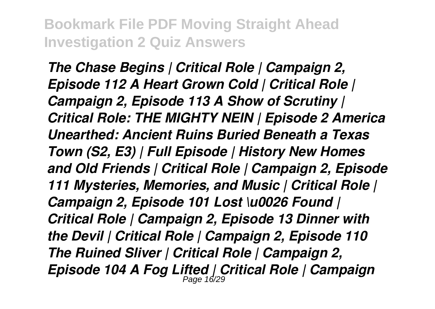*The Chase Begins | Critical Role | Campaign 2, Episode 112 A Heart Grown Cold | Critical Role | Campaign 2, Episode 113 A Show of Scrutiny | Critical Role: THE MIGHTY NEIN | Episode 2 America Unearthed: Ancient Ruins Buried Beneath a Texas Town (S2, E3) | Full Episode | History New Homes and Old Friends | Critical Role | Campaign 2, Episode 111 Mysteries, Memories, and Music | Critical Role | Campaign 2, Episode 101 Lost \u0026 Found | Critical Role | Campaign 2, Episode 13 Dinner with the Devil | Critical Role | Campaign 2, Episode 110 The Ruined Sliver | Critical Role | Campaign 2, Episode 104 A Fog Lifted | Critical Role | Campaign* Page 16/29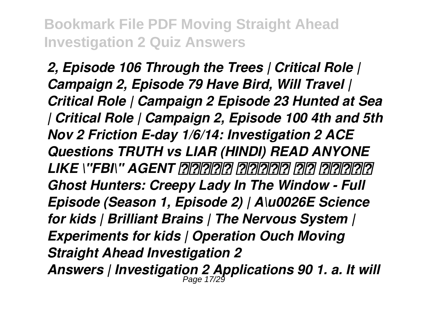*2, Episode 106 Through the Trees | Critical Role | Campaign 2, Episode 79 Have Bird, Will Travel | Critical Role | Campaign 2 Episode 23 Hunted at Sea | Critical Role | Campaign 2, Episode 100 4th and 5th Nov 2 Friction E-day 1/6/14: Investigation 2 ACE Questions TRUTH vs LIAR (HINDI) READ ANYONE LIKE \"FBI\" AGENT दिमाग पड़ने का तरीका Ghost Hunters: Creepy Lady In The Window - Full Episode (Season 1, Episode 2) | A\u0026E Science for kids | Brilliant Brains | The Nervous System | Experiments for kids | Operation Ouch Moving Straight Ahead Investigation 2 Answers | Investigation 2 Applications 90 1. a. It will* Page 17/29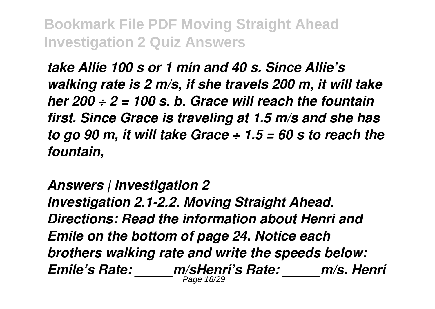*take Allie 100 s or 1 min and 40 s. Since Allie's walking rate is 2 m/s, if she travels 200 m, it will take her 200 ÷ 2 = 100 s. b. Grace will reach the fountain first. Since Grace is traveling at 1.5 m/s and she has to go 90 m, it will take Grace ÷ 1.5 = 60 s to reach the fountain,*

*Answers | Investigation 2 Investigation 2.1-2.2. Moving Straight Ahead. Directions: Read the information about Henri and Emile on the bottom of page 24. Notice each brothers walking rate and write the speeds below: Emile's Rate: \_\_\_\_\_m/sHenri's Rate: \_\_\_\_\_m/s. Henri* Page 18/29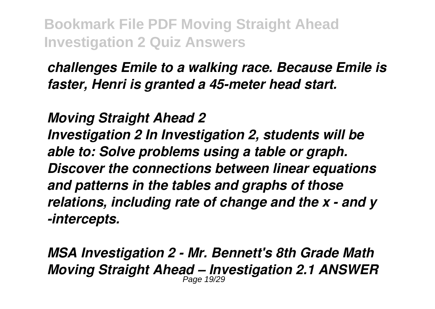*challenges Emile to a walking race. Because Emile is faster, Henri is granted a 45-meter head start.*

*Moving Straight Ahead 2 Investigation 2 In Investigation 2, students will be able to: Solve problems using a table or graph. Discover the connections between linear equations and patterns in the tables and graphs of those relations, including rate of change and the x - and y -intercepts.*

*MSA Investigation 2 - Mr. Bennett's 8th Grade Math Moving Straight Ahead – Investigation 2.1 ANSWER* Page 19/29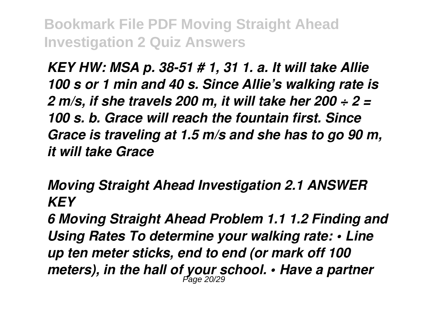*KEY HW: MSA p. 38-51 # 1, 31 1. a. It will take Allie 100 s or 1 min and 40 s. Since Allie's walking rate is 2 m/s, if she travels 200 m, it will take her 200 ÷ 2 = 100 s. b. Grace will reach the fountain first. Since Grace is traveling at 1.5 m/s and she has to go 90 m, it will take Grace*

# *Moving Straight Ahead Investigation 2.1 ANSWER KEY*

*6 Moving Straight Ahead Problem 1.1 1.2 Finding and Using Rates To determine your walking rate: • Line up ten meter sticks, end to end (or mark off 100 meters), in the hall of your school. • Have a partner* Page 20/29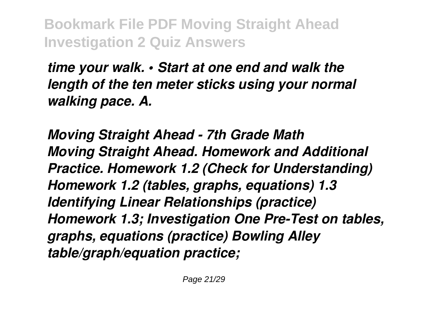*time your walk. • Start at one end and walk the length of the ten meter sticks using your normal walking pace. A.*

*Moving Straight Ahead - 7th Grade Math Moving Straight Ahead. Homework and Additional Practice. Homework 1.2 (Check for Understanding) Homework 1.2 (tables, graphs, equations) 1.3 Identifying Linear Relationships (practice) Homework 1.3; Investigation One Pre-Test on tables, graphs, equations (practice) Bowling Alley table/graph/equation practice;*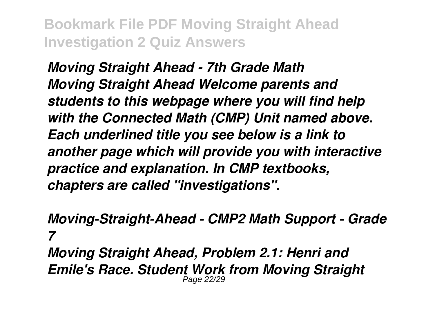*Moving Straight Ahead - 7th Grade Math Moving Straight Ahead Welcome parents and students to this webpage where you will find help with the Connected Math (CMP) Unit named above. Each underlined title you see below is a link to another page which will provide you with interactive practice and explanation. In CMP textbooks, chapters are called "investigations".*

*Moving-Straight-Ahead - CMP2 Math Support - Grade 7 Moving Straight Ahead, Problem 2.1: Henri and*

*Emile's Race. Student Work from Moving Straight* Page 22/29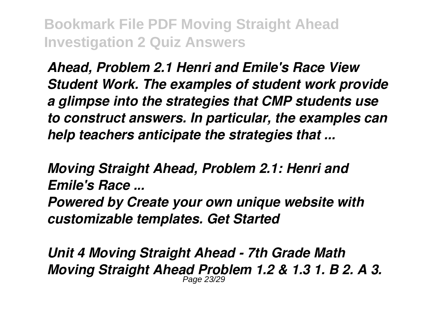*Ahead, Problem 2.1 Henri and Emile's Race View Student Work. The examples of student work provide a glimpse into the strategies that CMP students use to construct answers. In particular, the examples can help teachers anticipate the strategies that ...*

*Moving Straight Ahead, Problem 2.1: Henri and Emile's Race ...*

*Powered by Create your own unique website with customizable templates. Get Started*

*Unit 4 Moving Straight Ahead - 7th Grade Math Moving Straight Ahead Problem 1.2 & 1.3 1. B 2. A 3.* Page 23/29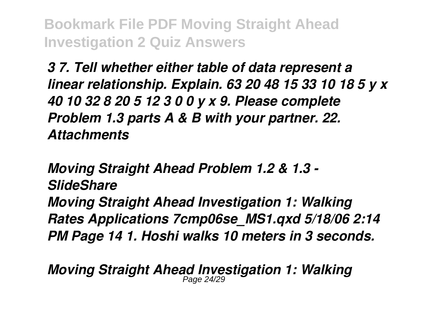*3 7. Tell whether either table of data represent a linear relationship. Explain. 63 20 48 15 33 10 18 5 y x 40 10 32 8 20 5 12 3 0 0 y x 9. Please complete Problem 1.3 parts A & B with your partner. 22. Attachments*

*Moving Straight Ahead Problem 1.2 & 1.3 - SlideShare Moving Straight Ahead Investigation 1: Walking Rates Applications 7cmp06se\_MS1.qxd 5/18/06 2:14 PM Page 14 1. Hoshi walks 10 meters in 3 seconds.*

*Moving Straight Ahead Investigation 1: Walking* Page 24/29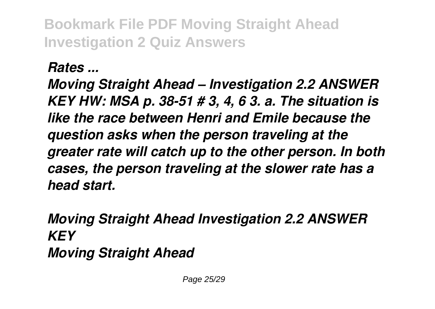*Rates ...*

*Moving Straight Ahead – Investigation 2.2 ANSWER KEY HW: MSA p. 38-51 # 3, 4, 6 3. a. The situation is like the race between Henri and Emile because the question asks when the person traveling at the greater rate will catch up to the other person. In both cases, the person traveling at the slower rate has a head start.*

*Moving Straight Ahead Investigation 2.2 ANSWER KEY Moving Straight Ahead*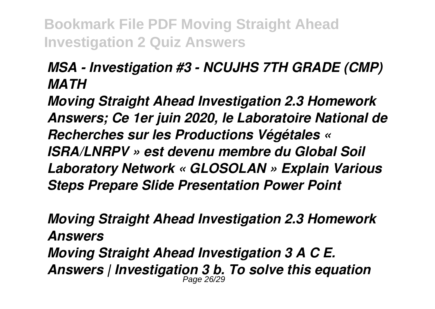## *MSA - Investigation #3 - NCUJHS 7TH GRADE (CMP) MATH*

*Moving Straight Ahead Investigation 2.3 Homework Answers; Ce 1er juin 2020, le Laboratoire National de Recherches sur les Productions Végétales « ISRA/LNRPV » est devenu membre du Global Soil Laboratory Network « GLOSOLAN » Explain Various Steps Prepare Slide Presentation Power Point*

*Moving Straight Ahead Investigation 2.3 Homework Answers Moving Straight Ahead Investigation 3 A C E. Answers | Investigation 3 b. To solve this equation* Page 26/29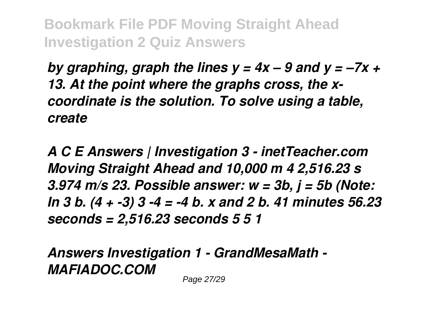*by graphing, graph the lines y = 4x – 9 and y = –7x + 13. At the point where the graphs cross, the xcoordinate is the solution. To solve using a table, create*

*A C E Answers | Investigation 3 - inetTeacher.com Moving Straight Ahead and 10,000 m 4 2,516.23 s 3.974 m/s 23. Possible answer: w = 3b, j = 5b (Note: In 3 b. (4 + -3) 3 -4 = -4 b. x and 2 b. 41 minutes 56.23 seconds = 2,516.23 seconds 5 5 1*

*Answers Investigation 1 - GrandMesaMath - MAFIADOC.COM*

Page 27/29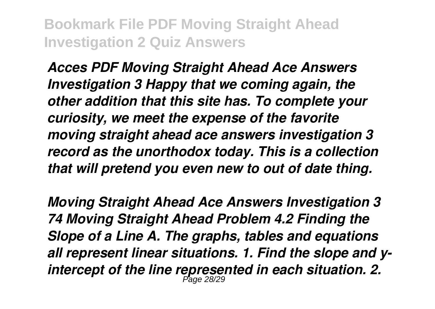*Acces PDF Moving Straight Ahead Ace Answers Investigation 3 Happy that we coming again, the other addition that this site has. To complete your curiosity, we meet the expense of the favorite moving straight ahead ace answers investigation 3 record as the unorthodox today. This is a collection that will pretend you even new to out of date thing.*

*Moving Straight Ahead Ace Answers Investigation 3 74 Moving Straight Ahead Problem 4.2 Finding the Slope of a Line A. The graphs, tables and equations all represent linear situations. 1. Find the slope and yintercept of the line represented in each situation. 2.* Page 28/29